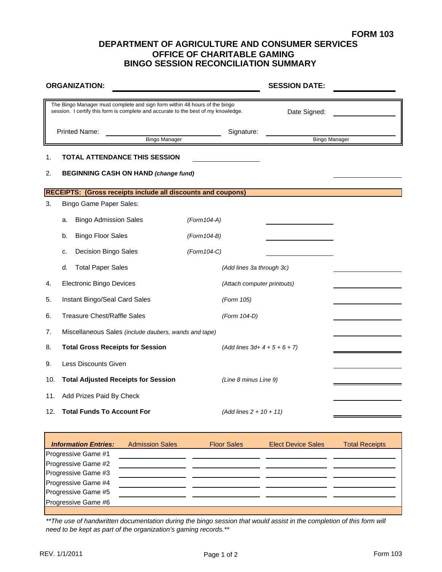## **OFFICE OF CHARITABLE GAMING BINGO SESSION RECONCILIATION SUMMARY DEPARTMENT OF AGRICULTURE AND CONSUMER SERVICES**

|     | <b>ORGANIZATION:</b>                                                                                                                                             |                             | <b>SESSION DATE:</b> |                      |  |  |
|-----|------------------------------------------------------------------------------------------------------------------------------------------------------------------|-----------------------------|----------------------|----------------------|--|--|
|     | The Bingo Manager must complete and sign form within 48 hours of the bingo<br>session. I certify this form is complete and accurate to the best of my knowledge. |                             | Date Signed:         |                      |  |  |
|     | <b>Printed Name:</b><br><b>Bingo Manager</b>                                                                                                                     | Signature:                  |                      | <b>Bingo Manager</b> |  |  |
| 1.  | TOTAL ATTENDANCE THIS SESSION                                                                                                                                    |                             |                      |                      |  |  |
| 2.  | <b>BEGINNING CASH ON HAND (change fund)</b>                                                                                                                      |                             |                      |                      |  |  |
|     | <b>RECEIPTS: (Gross receipts include all discounts and coupons)</b>                                                                                              |                             |                      |                      |  |  |
| 3.  | <b>Bingo Game Paper Sales:</b>                                                                                                                                   |                             |                      |                      |  |  |
|     | <b>Bingo Admission Sales</b><br>a.                                                                                                                               | (Form104-A)                 |                      |                      |  |  |
|     | <b>Bingo Floor Sales</b><br>b.                                                                                                                                   | (Form 104-B)                |                      |                      |  |  |
|     | Decision Bingo Sales<br>c.                                                                                                                                       | $(Form104-C)$               |                      |                      |  |  |
|     | <b>Total Paper Sales</b><br>d.                                                                                                                                   | (Add lines 3a through 3c)   |                      |                      |  |  |
| 4.  | <b>Electronic Bingo Devices</b>                                                                                                                                  | (Attach computer printouts) |                      |                      |  |  |
| 5.  | Instant Bingo/Seal Card Sales                                                                                                                                    | (Form 105)                  |                      |                      |  |  |
| 6.  | <b>Treasure Chest/Raffle Sales</b>                                                                                                                               | (Form 104-D)                |                      |                      |  |  |
| 7.  | Miscellaneous Sales (include daubers, wands and tape)                                                                                                            |                             |                      |                      |  |  |
| 8.  | <b>Total Gross Receipts for Session</b>                                                                                                                          | $(Add lines 3d+4+5+6+7)$    |                      |                      |  |  |
| 9.  | Less Discounts Given                                                                                                                                             |                             |                      |                      |  |  |
| 10. | <b>Total Adjusted Receipts for Session</b>                                                                                                                       | (Line 8 minus Line 9)       |                      |                      |  |  |
| 11. | Add Prizes Paid By Check                                                                                                                                         |                             |                      |                      |  |  |
| 12. | <b>Total Funds To Account For</b>                                                                                                                                | $(Add lines 2 + 10 + 11)$   |                      |                      |  |  |

| <b>Information Entries:</b> | <b>Admission Sales</b> | <b>Floor Sales</b> | <b>Elect Device Sales</b> | <b>Total Receipts</b> |
|-----------------------------|------------------------|--------------------|---------------------------|-----------------------|
| Progressive Game #1         |                        |                    |                           |                       |
| Progressive Game #2         |                        |                    |                           |                       |
| Progressive Game #3         |                        |                    |                           |                       |
| Progressive Game #4         |                        |                    |                           |                       |
| Progressive Game #5         |                        |                    |                           |                       |
| Progressive Game #6         |                        |                    |                           |                       |
|                             |                        |                    |                           |                       |

*\*\*The use of handwritten documentation during the bingo session that would assist in the completion of this form will need to be kept as part of the organization's gaming records.\*\**